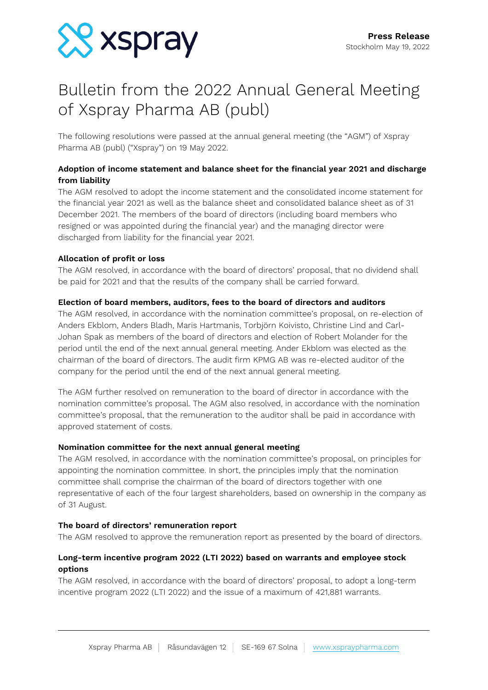

# Bulletin from the 2022 Annual General Meeting of Xspray Pharma AB (publ)

The following resolutions were passed at the annual general meeting (the "AGM") of Xspray Pharma AB (publ) ("Xspray") on 19 May 2022.

# **Adoption of income statement and balance sheet for the financial year 2021 and discharge from liability**

The AGM resolved to adopt the income statement and the consolidated income statement for the financial year 2021 as well as the balance sheet and consolidated balance sheet as of 31 December 2021. The members of the board of directors (including board members who resigned or was appointed during the financial year) and the managing director were discharged from liability for the financial year 2021.

# **Allocation of profit or loss**

The AGM resolved, in accordance with the board of directors' proposal, that no dividend shall be paid for 2021 and that the results of the company shall be carried forward.

# **Election of board members, auditors, fees to the board of directors and auditors**

The AGM resolved, in accordance with the nomination committee's proposal, on re-election of Anders Ekblom, Anders Bladh, Maris Hartmanis, Torbjörn Koivisto, Christine Lind and Carl-Johan Spak as members of the board of directors and election of Robert Molander for the period until the end of the next annual general meeting. Ander Ekblom was elected as the chairman of the board of directors. The audit firm KPMG AB was re-elected auditor of the company for the period until the end of the next annual general meeting.

The AGM further resolved on remuneration to the board of director in accordance with the nomination committee's proposal. The AGM also resolved, in accordance with the nomination committee's proposal, that the remuneration to the auditor shall be paid in accordance with approved statement of costs.

## **Nomination committee for the next annual general meeting**

The AGM resolved, in accordance with the nomination committee's proposal, on principles for appointing the nomination committee. In short, the principles imply that the nomination committee shall comprise the chairman of the board of directors together with one representative of each of the four largest shareholders, based on ownership in the company as of 31 August.

## **The board of directors' remuneration report**

The AGM resolved to approve the remuneration report as presented by the board of directors.

# **Long-term incentive program 2022 (LTI 2022) based on warrants and employee stock options**

The AGM resolved, in accordance with the board of directors' proposal, to adopt a long-term incentive program 2022 (LTI 2022) and the issue of a maximum of 421,881 warrants.